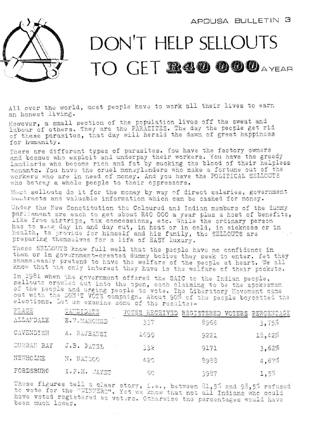

## DON'T HELP SELLOUTS TO GET **R40000** AYEAR

All over the world, most people have to work all their lives to earn an honest living.

However, a small section of the population lives off the sweat and labour of others. They are the PARASITES. The day the people get rid of these parasites, that day will herald the dawn of great happiness for humanity.

There are different types of parasites. You have the factory owners and bosses who exploit and underpay their workers, You have the greedy landlords who become rich and fat by sucking the blood of their helpless tenants. You have the cruel moneylenders who make a fortune out of the workers who are in need of money. And you have the POLITICAL SELLOUTS who betray a whole people to their oppressors.

Most sellouts do it for the money by way of direct salaries, government contracts and valuable information which can be cashed for money.

Under the New Constitution the Coloured and Indian members of the dummy parliament are each to get about R40 000 a year plus a host of benefits, like free airtrips, tax concessions, etc. While the ordinary person has to sing day in and day out, in heat or in cold, in sickness or in health, to provide for himself and his family, the SELLOUTS are preparing themselves for a life of EASY luxury.

These SELLOUTS know full well that the people have no confidence in them or in government-created dummy bodies they seek to enter. Yet they shamelessly pretend to have the welfare of the people at heart. We all know that the only interest they have is the welfare of their pockets.

In 1981 when the government offered the SAIC to the Indian people, sellouts crawled out into the open, each claiming to be the spokesman of the people and urging people to vote. The Liberatory Movement came out with the DON'T VOTE campaign. About 90% of the people boycotted the elections. Let us examine some of the results:-

| PLACE            | CANDIDATE    | VOTES RECEIVED REGISTERED |      | VOTERS PERCENTAGE |
|------------------|--------------|---------------------------|------|-------------------|
| <b>ALLAMDALE</b> | E.V.MAHOMED  | 337                       | 8966 | 3,75%             |
| CAVENDISH        | A. RAJBANSI  | 1699                      | 9221 | 18,42%            |
| DURBAN BAY       | J.B. PATEL   | 332                       | 9171 | 3,62%             |
| NEWHOLME         | N. NAIDOO    | 420                       | 8988 | 4,67%             |
| FORDSBURG        | I.F.H. SAYET | 50                        | 3987 | 1,5%              |

These figures tell a clea rnese figures tell a clear story, i.e., between 81,5% and 98,5%<br>to vote for the "WINNERS". Yet we know that not all Indians who have voted registered been much lower. . Iet we know that not all indians who could voters. Otherwise the percentages would have